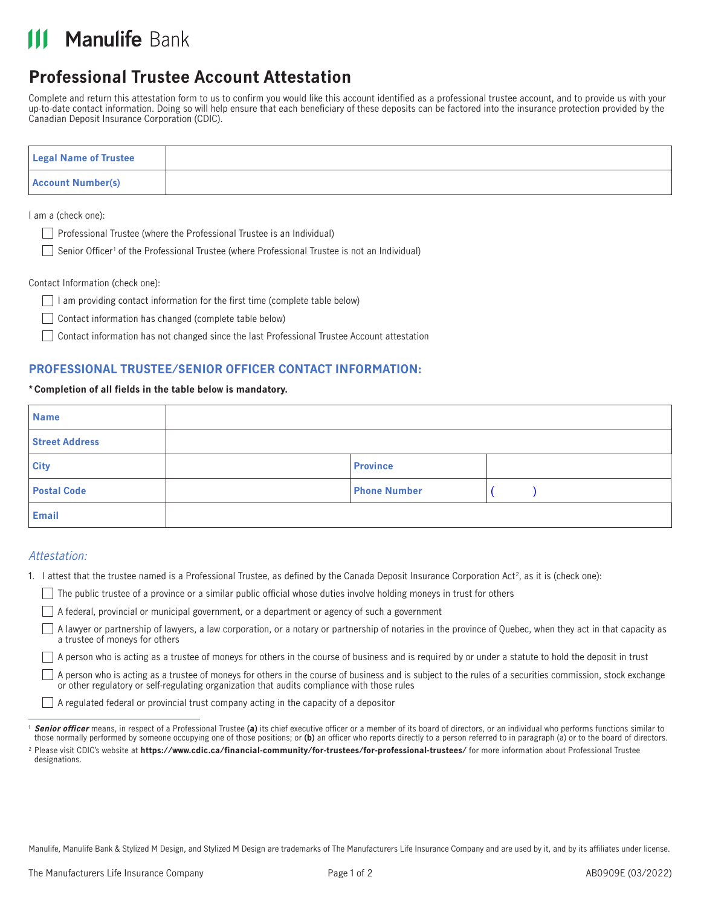# **III Manulife Bank**

# **Professional Trustee Account Attestation**

Complete and return this attestation form to us to confirm you would like this account identified as a professional trustee account, and to provide us with your up-to-date contact information. Doing so will help ensure that each beneficiary of these deposits can be factored into the insurance protection provided by the Canadian Deposit Insurance Corporation (CDIC).

| <b>Legal Name of Trustee</b> |  |
|------------------------------|--|
| <b>Account Number(s)</b>     |  |

I am a (check one):

- $\Box$  Professional Trustee (where the Professional Trustee is an Individual)
	- Senior Officer<sup>1</sup> of the Professional Trustee (where Professional Trustee is not an Individual)

Contact Information (check one):

- $\Box$  I am providing contact information for the first time (complete table below)
- $\Box$  Contact information has changed (complete table below)
- Contact information has not changed since the last Professional Trustee Account attestation

# **PROFESSIONAL TRUSTEE/SENIOR OFFICER CONTACT INFORMATION:**

#### **\*Completion of all fields in the table below is mandatory.**

| <b>Name</b>           |                     |  |
|-----------------------|---------------------|--|
| <b>Street Address</b> |                     |  |
| <b>City</b>           | <b>Province</b>     |  |
| <b>Postal Code</b>    | <b>Phone Number</b> |  |
| <b>Email</b>          |                     |  |

## Attestation:

- 1. I attest that the trustee named is a Professional Trustee, as defined by the Canada Deposit Insurance Corporation Act2, as it is (check one):
	- $\Box$  The public trustee of a province or a similar public official whose duties involve holding moneys in trust for others
	- A federal, provincial or municipal government, or a department or agency of such a government
	- $\Box$ A lawyer or partnership of lawyers, a law corporation, or a notary or partnership of notaries in the province of Quebec, when they act in that capacity as a trustee of moneys for others

 $\Box$  A person who is acting as a trustee of moneys for others in the course of business and is required by or under a statute to hold the deposit in trust

 $\Box$  A person who is acting as a trustee of moneys for others in the course of business and is subject to the rules of a securities commission, stock exchange or other regulatory or self-regulating organization that audits compliance with those rules

A regulated federal or provincial trust company acting in the capacity of a depositor

Manulife, Manulife Bank & Stylized M Design, and Stylized M Design are trademarks of The Manufacturers Life Insurance Company and are used by it, and by its affiliates under license.

<sup>&</sup>lt;sup>1</sup> Senior officer means, in respect of a Professional Trustee (a) its chief executive officer or a member of its board of directors, or an individual who performs functions similar to those normally performed by someone occupying one of those positions; or **(b)** an officer who reports directly to a person referred to in paragraph (a) or to the board of directors.

<sup>2</sup> Please visit CDIC's website at **<https://www.cdic.ca/financial-community/for-trustees/for-professional-trustees/>** for more information about Professional Trustee designations.